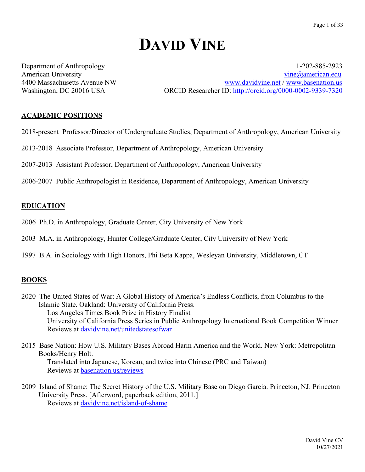# **DAVID VINE**

Department of Anthropology 1-202-885-2923 American University vine all the state of the contract of the vine and vine all vine all vine all vine all vine all vine all vine all vine all vine all vine all vine all vine all vine all vine all vine all vine all vine al 4400 Massachusetts Avenue NW www.davidvine.net / www.basenation.us Washington, DC 20016 USA ORCID Researcher ID: http://orcid.org/0000-0002-9339-7320

# **ACADEMIC POSITIONS**

- 2018-present Professor/Director of Undergraduate Studies, Department of Anthropology, American University
- 2013-2018 Associate Professor, Department of Anthropology, American University
- 2007-2013 Assistant Professor, Department of Anthropology, American University
- 2006-2007 Public Anthropologist in Residence, Department of Anthropology, American University

#### **EDUCATION**

- 2006 Ph.D. in Anthropology, Graduate Center, City University of New York
- 2003 M.A. in Anthropology, Hunter College/Graduate Center, City University of New York
- 1997 B.A. in Sociology with High Honors, Phi Beta Kappa, Wesleyan University, Middletown, CT

#### **BOOKS**

- 2020 The United States of War: A Global History of America's Endless Conflicts, from Columbus to the Islamic State. Oakland: University of California Press. Los Angeles Times Book Prize in History Finalist University of California Press Series in Public Anthropology International Book Competition Winner Reviews at davidvine.net/unitedstatesofwar
- 2015 Base Nation: How U.S. Military Bases Abroad Harm America and the World. New York: Metropolitan Books/Henry Holt. Translated into Japanese, Korean, and twice into Chinese (PRC and Taiwan) Reviews at basenation.us/reviews
- 2009 Island of Shame: The Secret History of the U.S. Military Base on Diego Garcia. Princeton, NJ: Princeton University Press. [Afterword, paperback edition, 2011.] Reviews at davidvine.net/island-of-shame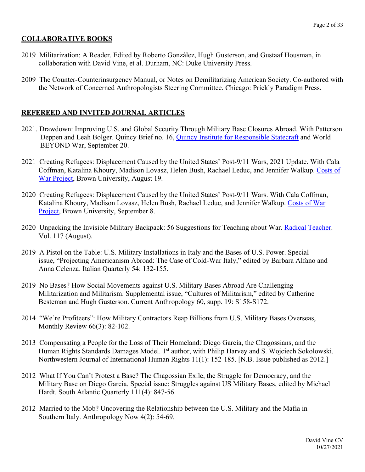#### **COLLABORATIVE BOOKS**

- 2019 Militarization: A Reader. Edited by Roberto González, Hugh Gusterson, and Gustaaf Housman, in collaboration with David Vine, et al. Durham, NC: Duke University Press.
- 2009 The Counter-Counterinsurgency Manual, or Notes on Demilitarizing American Society. Co-authored with the Network of Concerned Anthropologists Steering Committee. Chicago: Prickly Paradigm Press.

#### **REFEREED AND INVITED JOURNAL ARTICLES**

- 2021. Drawdown: Improving U.S. and Global Security Through Military Base Closures Abroad. With Patterson Deppen and Leah Bolger. Quincy Brief no. 16, **Quincy Institute for Responsible Statecraft** and World BEYOND War, September 20.
- 2021 Creating Refugees: Displacement Caused by the United States' Post-9/11 Wars, 2021 Update. With Cala Coffman, Katalina Khoury, Madison Lovasz, Helen Bush, Rachael Leduc, and Jennifer Walkup. Costs of War Project, Brown University, August 19.
- 2020 Creating Refugees: Displacement Caused by the United States' Post-9/11 Wars. With Cala Coffman, Katalina Khoury, Madison Lovasz, Helen Bush, Rachael Leduc, and Jennifer Walkup. Costs of War Project, Brown University, September 8.
- 2020 Unpacking the Invisible Military Backpack: 56 Suggestions for Teaching about War. Radical Teacher. Vol. 117 (August).
- 2019 A Pistol on the Table: U.S. Military Installations in Italy and the Bases of U.S. Power. Special issue, "Projecting Americanism Abroad: The Case of Cold-War Italy," edited by Barbara Alfano and Anna Celenza. Italian Quarterly 54: 132-155.
- 2019 No Bases? How Social Movements against U.S. Military Bases Abroad Are Challenging Militarization and Militarism. Supplemental issue, "Cultures of Militarism," edited by Catherine Besteman and Hugh Gusterson. Current Anthropology 60, supp. 19: S158-S172.
- 2014 "We're Profiteers": How Military Contractors Reap Billions from U.S. Military Bases Overseas, Monthly Review 66(3): 82-102.
- 2013 Compensating a People for the Loss of Their Homeland: Diego Garcia, the Chagossians, and the Human Rights Standards Damages Model. 1<sup>st</sup> author, with Philip Harvey and S. Wojciech Sokolowski. Northwestern Journal of International Human Rights 11(1): 152-185. [N.B. Issue published as 2012.]
- 2012 What If You Can't Protest a Base? The Chagossian Exile, the Struggle for Democracy, and the Military Base on Diego Garcia. Special issue: Struggles against US Military Bases, edited by Michael Hardt. South Atlantic Quarterly 111(4): 847-56.
- 2012 Married to the Mob? Uncovering the Relationship between the U.S. Military and the Mafia in Southern Italy. Anthropology Now 4(2): 54-69.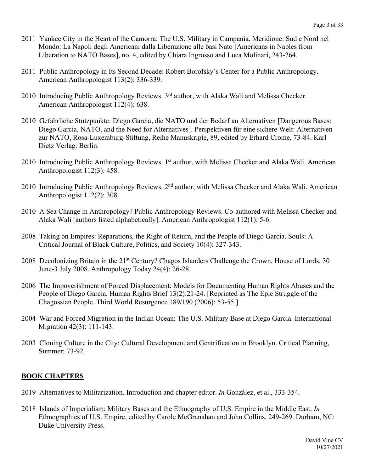- 2011 Yankee City in the Heart of the Camorra: The U.S. Military in Campania. Meridione: Sud e Nord nel Mondo: La Napoli degli Americani dalla Liberazione alle basi Nato [Americans in Naples from Liberation to NATO Bases], no. 4, edited by Chiara Ingrosso and Luca Molinari, 243-264.
- 2011 Public Anthropology in Its Second Decade: Robert Borofsky's Center for a Public Anthropology. American Anthropologist 113(2): 336-339.
- 2010 Introducing Public Anthropology Reviews. 3<sup>rd</sup> author, with Alaka Wali and Melissa Checker. American Anthropologist 112(4): 638.
- 2010 Gefährliche Stützpunkte: Diego Garcia, die NATO und der Bedarf an Alternativen [Dangerous Bases: Diego Garcia, NATO, and the Need for Alternatives]. Perspektiven für eine sichere Welt: Alternativen zur NATO, Rosa-Luxemburg-Stiftung, Reihe Manuskripte, 89, edited by Erhard Crome, 73-84. Karl Dietz Verlag: Berlin.
- 2010 Introducing Public Anthropology Reviews. 1<sup>st</sup> author, with Melissa Checker and Alaka Wali. American Anthropologist 112(3): 458.
- 2010 Introducing Public Anthropology Reviews. 2<sup>nd</sup> author, with Melissa Checker and Alaka Wali. American Anthropologist 112(2): 308.
- 2010 A Sea Change in Anthropology? Public Anthropology Reviews. Co-authored with Melissa Checker and Alaka Wali [authors listed alphabetically]. American Anthropologist 112(1): 5-6.
- 2008 Taking on Empires: Reparations, the Right of Return, and the People of Diego Garcia. Souls: A Critical Journal of Black Culture, Politics, and Society 10(4): 327-343.
- 2008 Decolonizing Britain in the 21<sup>st</sup> Century? Chagos Islanders Challenge the Crown, House of Lords, 30 June-3 July 2008. Anthropology Today 24(4): 26-28.
- 2006 The Impoverishment of Forced Displacement: Models for Documenting Human Rights Abuses and the People of Diego Garcia. Human Rights Brief 13(2):21-24. [Reprinted as The Epic Struggle of the Chagossian People. Third World Resurgence 189/190 (2006): 53-55.]
- 2004 War and Forced Migration in the Indian Ocean: The U.S. Military Base at Diego Garcia. International Migration 42(3): 111-143.
- 2003 Cloning Culture in the City: Cultural Development and Gentrification in Brooklyn. Critical Planning, Summer: 73-92.

#### **BOOK CHAPTERS**

- 2019 Alternatives to Militarization. Introduction and chapter editor. *In* González, et al., 333-354.
- 2018 Islands of Imperialism: Military Bases and the Ethnography of U.S. Empire in the Middle East. *In*  Ethnographies of U.S. Empire, edited by Carole McGranahan and John Collins, 249-269. Durham, NC: Duke University Press.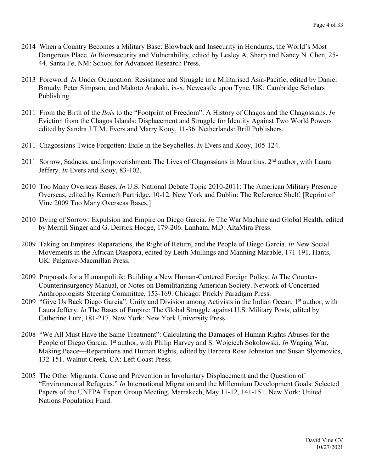- 2014 When a Country Becomes a Military Base: Blowback and Insecurity in Honduras, the World's Most Dangerous Place. *In* Bio*in*security and Vulnerability, edited by Lesley A. Sharp and Nancy N. Chen, 25- 44. Santa Fe, NM: School for Advanced Research Press.
- 2013 Foreword. *In* Under Occupation: Resistance and Struggle in a Militarised Asia-Pacific, edited by Daniel Broudy, Peter Simpson, and Makoto Arakaki, ix-x. Newcastle upon Tyne, UK: Cambridge Scholars Publishing.
- 2011 From the Birth of the *Ilois* to the "Footprint of Freedom": A History of Chagos and the Chagossians. *In* Eviction from the Chagos Islands: Displacement and Struggle for Identity Against Two World Powers*,*  edited by Sandra J.T.M. Evers and Marry Kooy, 11-36. Netherlands: Brill Publishers.
- 2011 Chagossians Twice Forgotten: Exile in the Seychelles. *In* Evers and Kooy, 105-124.
- 2011 Sorrow, Sadness, and Impoverishment: The Lives of Chagossians in Mauritius. 2<sup>nd</sup> author, with Laura Jeffery. *In* Evers and Kooy, 83-102.
- 2010 Too Many Overseas Bases. *In* U.S. National Debate Topic 2010-2011: The American Military Presence Overseas, edited by Kenneth Partridge, 10-12. New York and Dublin: The Reference Shelf. [Reprint of Vine 2009 Too Many Overseas Bases.]
- 2010 Dying of Sorrow: Expulsion and Empire on Diego Garcia. *In* The War Machine and Global Health, edited by Merrill Singer and G. Derrick Hodge, 179-206. Lanham, MD: AltaMira Press.
- 2009 Taking on Empires: Reparations, the Right of Return, and the People of Diego Garcia. *In* New Social Movements in the African Diaspora, edited by Leith Mullings and Manning Marable, 171-191. Hants, UK: Palgrave-Macmillan Press.
- 2009 Proposals for a Humanpolitik: Building a New Human-Centered Foreign Policy. *In* The Counter-Counterinsurgency Manual, or Notes on Demilitarizing American Society. Network of Concerned Anthropologists Steering Committee, 153-169. Chicago: Prickly Paradigm Press.
- 2009 "Give Us Back Diego Garcia": Unity and Division among Activists in the Indian Ocean. 1<sup>st</sup> author, with Laura Jeffery. *In* The Bases of Empire: The Global Struggle against U.S. Military Posts, edited by Catherine Lutz, 181-217. New York: New York University Press.
- 2008 "We All Must Have the Same Treatment": Calculating the Damages of Human Rights Abuses for the People of Diego Garcia. 1<sup>st</sup> author, with Philip Harvey and S. Wojciech Sokolowski. *In* Waging War, Making Peace—Reparations and Human Rights, edited by Barbara Rose Johnston and Susan Slyomovics, 132-151. Walnut Creek, CA: Left Coast Press.
- 2005 The Other Migrants: Cause and Prevention in Involuntary Displacement and the Question of "Environmental Refugees." *In* International Migration and the Millennium Development Goals: Selected Papers of the UNFPA Expert Group Meeting, Marrakech, May 11-12, 141-151. New York: United Nations Population Fund.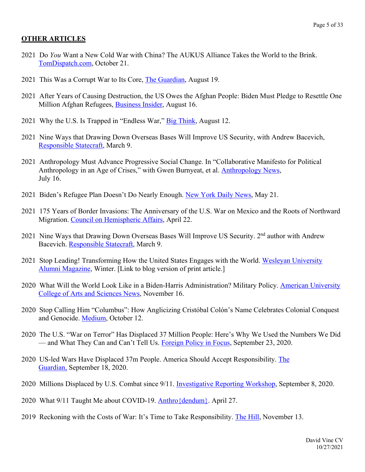#### **OTHER ARTICLES**

- 2021 Do *You* Want a New Cold War with China? The AUKUS Alliance Takes the World to the Brink. TomDispatch.com, October 21.
- 2021 This Was a Corrupt War to Its Core, The Guardian, August 19.
- 2021 After Years of Causing Destruction, the US Owes the Afghan People: Biden Must Pledge to Resettle One Million Afghan Refugees, Business Insider, August 16.
- 2021 Why the U.S. Is Trapped in "Endless War," Big Think, August 12.
- 2021 Nine Ways that Drawing Down Overseas Bases Will Improve US Security, with Andrew Bacevich, Responsible Statecraft, March 9.
- 2021 Anthropology Must Advance Progressive Social Change. In "Collaborative Manifesto for Political Anthropology in an Age of Crises," with Gwen Burnyeat, et al. Anthropology News, July 16.
- 2021 Biden's Refugee Plan Doesn't Do Nearly Enough. New York Daily News, May 21.
- 2021 175 Years of Border Invasions: The Anniversary of the U.S. War on Mexico and the Roots of Northward Migration. Council on Hemispheric Affairs, April 22.
- 2021 Nine Ways that Drawing Down Overseas Bases Will Improve US Security. 2nd author with Andrew Bacevich. Responsible Statecraft, March 9.
- 2021 Stop Leading! Transforming How the United States Engages with the World. Wesleyan University Alumni Magazine, Winter. [Link to blog version of print article.]
- 2020 What Will the World Look Like in a Biden-Harris Administration? Military Policy. American University College of Arts and Sciences News, November 16.
- 2020 Stop Calling Him "Columbus": How Anglicizing Cristóbal Colón's Name Celebrates Colonial Conquest and Genocide. Medium, October 12.
- 2020 The U.S. "War on Terror" Has Displaced 37 Million People: Here's Why We Used the Numbers We Did — and What They Can and Can't Tell Us. Foreign Policy in Focus, September 23, 2020.
- 2020 US-led Wars Have Displaced 37m People. America Should Accept Responsibility. The Guardian, September 18, 2020.
- 2020 Millions Displaced by U.S. Combat since 9/11. Investigative Reporting Workshop, September 8, 2020.
- 2020 What 9/11 Taught Me about COVID-19. Anthro {dendum}. April 27.
- 2019 Reckoning with the Costs of War: It's Time to Take Responsibility. The Hill, November 13.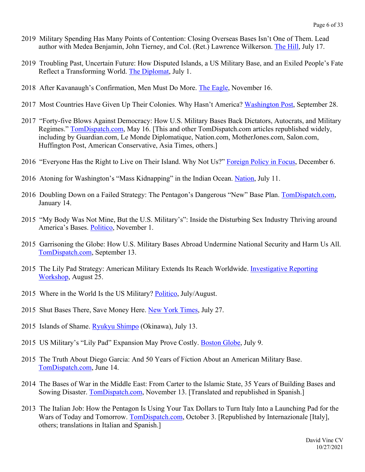- 2019 Military Spending Has Many Points of Contention: Closing Overseas Bases Isn't One of Them. Lead author with Medea Benjamin, John Tierney, and Col. (Ret.) Lawrence Wilkerson. The Hill, July 17.
- 2019 Troubling Past, Uncertain Future: How Disputed Islands, a US Military Base, and an Exiled People's Fate Reflect a Transforming World. The Diplomat, July 1.
- 2018 After Kavanaugh's Confirmation, Men Must Do More. The Eagle, November 16.
- 2017 Most Countries Have Given Up Their Colonies. Why Hasn't America? Washington Post, September 28.
- 2017 "Forty-five Blows Against Democracy: How U.S. Military Bases Back Dictators, Autocrats, and Military Regimes." TomDispatch.com, May 16. [This and other TomDispatch.com articles republished widely, including by Guardian.com, Le Monde Diplomatique, Nation.com, MotherJones.com, Salon.com, Huffington Post, American Conservative, Asia Times, others.]
- 2016 "Everyone Has the Right to Live on Their Island. Why Not Us?" Foreign Policy in Focus, December 6.
- 2016 Atoning for Washington's "Mass Kidnapping" in the Indian Ocean. Nation, July 11.
- 2016 Doubling Down on a Failed Strategy: The Pentagon's Dangerous "New" Base Plan. TomDispatch.com, January 14.
- 2015 "My Body Was Not Mine, But the U.S. Military's": Inside the Disturbing Sex Industry Thriving around America's Bases. Politico, November 1.
- 2015 Garrisoning the Globe: How U.S. Military Bases Abroad Undermine National Security and Harm Us All. TomDispatch.com, September 13.
- 2015 The Lily Pad Strategy: American Military Extends Its Reach Worldwide. Investigative Reporting Workshop, August 25.
- 2015 Where in the World Is the US Military? Politico, July/August.
- 2015 Shut Bases There, Save Money Here. New York Times, July 27.
- 2015 Islands of Shame. Ryukyu Shimpo (Okinawa), July 13.
- 2015 US Military's "Lily Pad" Expansion May Prove Costly. Boston Globe, July 9.
- 2015 The Truth About Diego Garcia: And 50 Years of Fiction About an American Military Base. TomDispatch.com, June 14.
- 2014 The Bases of War in the Middle East: From Carter to the Islamic State, 35 Years of Building Bases and Sowing Disaster. TomDispatch.com, November 13. [Translated and republished in Spanish.]
- 2013 The Italian Job: How the Pentagon Is Using Your Tax Dollars to Turn Italy Into a Launching Pad for the Wars of Today and Tomorrow. TomDispatch.com, October 3. [Republished by Internazionale [Italy], others; translations in Italian and Spanish.]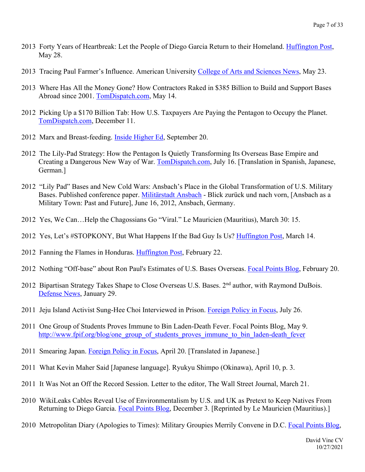- 2013 Forty Years of Heartbreak: Let the People of Diego Garcia Return to their Homeland. Huffington Post, May 28.
- 2013 Tracing Paul Farmer's Influence. American University College of Arts and Sciences News, May 23.
- 2013 Where Has All the Money Gone? How Contractors Raked in \$385 Billion to Build and Support Bases Abroad since 2001. TomDispatch.com, May 14.
- 2012 Picking Up a \$170 Billion Tab: How U.S. Taxpayers Are Paying the Pentagon to Occupy the Planet. TomDispatch.com, December 11.
- 2012 Marx and Breast-feeding. Inside Higher Ed, September 20.
- 2012 The Lily-Pad Strategy: How the Pentagon Is Quietly Transforming Its Overseas Base Empire and Creating a Dangerous New Way of War. TomDispatch.com, July 16. [Translation in Spanish, Japanese, German.]
- 2012 "Lily Pad" Bases and New Cold Wars: Ansbach's Place in the Global Transformation of U.S. Military Bases. Published conference paper. Militärstadt Ansbach - Blick zurück und nach vorn, [Ansbach as a Military Town: Past and Future], June 16, 2012, Ansbach, Germany.
- 2012 Yes, We Can…Help the Chagossians Go "Viral." Le Mauricien (Mauritius), March 30: 15.
- 2012 Yes, Let's #STOPKONY, But What Happens If the Bad Guy Is Us? Huffington Post, March 14.
- 2012 Fanning the Flames in Honduras. Huffington Post, February 22.
- 2012 Nothing "Off-base" about Ron Paul's Estimates of U.S. Bases Overseas. Focal Points Blog, February 20.
- 2012 Bipartisan Strategy Takes Shape to Close Overseas U.S. Bases. 2<sup>nd</sup> author, with Raymond DuBois. Defense News, January 29.
- 2011 Jeju Island Activist Sung-Hee Choi Interviewed in Prison. Foreign Policy in Focus, July 26.
- 2011 One Group of Students Proves Immune to Bin Laden-Death Fever. Focal Points Blog, May 9. http://www.fpif.org/blog/one\_group\_of\_students\_proves\_immune\_to\_bin\_laden-death\_fever
- 2011 Smearing Japan. Foreign Policy in Focus, April 20. [Translated in Japanese.]
- 2011 What Kevin Maher Said [Japanese language]. Ryukyu Shimpo (Okinawa), April 10, p. 3.
- 2011 It Was Not an Off the Record Session. Letter to the editor, The Wall Street Journal, March 21.
- 2010 WikiLeaks Cables Reveal Use of Environmentalism by U.S. and UK as Pretext to Keep Natives From Returning to Diego Garcia. Focal Points Blog, December 3. [Reprinted by Le Mauricien (Mauritius).]
- 2010 Metropolitan Diary (Apologies to Times): Military Groupies Merrily Convene in D.C. Focal Points Blog,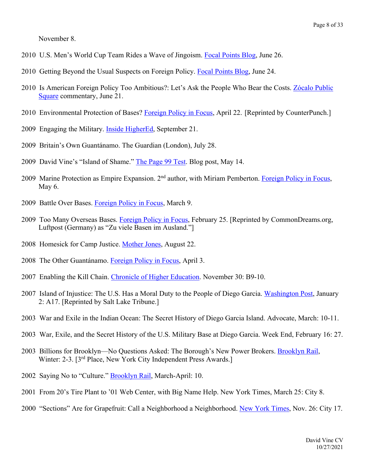November 8.

- 2010 U.S. Men's World Cup Team Rides a Wave of Jingoism. Focal Points Blog, June 26.
- 2010 Getting Beyond the Usual Suspects on Foreign Policy. Focal Points Blog, June 24.
- 2010 Is American Foreign Policy Too Ambitious?: Let's Ask the People Who Bear the Costs. Zócalo Public Square commentary, June 21.
- 2010 Environmental Protection of Bases? Foreign Policy in Focus, April 22. [Reprinted by CounterPunch.]
- 2009 Engaging the Military. Inside HigherEd, September 21.
- 2009 Britain's Own Guantánamo. The Guardian (London), July 28.
- 2009 David Vine's "Island of Shame." The Page 99 Test. Blog post, May 14.
- 2009 Marine Protection as Empire Expansion. 2nd author, with Miriam Pemberton. Foreign Policy in Focus, May 6.
- 2009 Battle Over Bases. Foreign Policy in Focus, March 9.
- 2009 Too Many Overseas Bases. Foreign Policy in Focus, February 25. [Reprinted by CommonDreams.org, Luftpost (Germany) as "Zu viele Basen im Ausland."]
- 2008 Homesick for Camp Justice. Mother Jones, August 22.
- 2008 The Other Guantánamo. Foreign Policy in Focus, April 3.
- 2007 Enabling the Kill Chain. Chronicle of Higher Education. November 30: B9-10.
- 2007 Island of Injustice: The U.S. Has a Moral Duty to the People of Diego Garcia. Washington Post, January 2: A17. [Reprinted by Salt Lake Tribune.]
- 2003 War and Exile in the Indian Ocean: The Secret History of Diego Garcia Island. Advocate, March: 10-11.
- 2003 War, Exile, and the Secret History of the U.S. Military Base at Diego Garcia. Week End, February 16: 27.
- 2003 Billions for Brooklyn—No Questions Asked: The Borough's New Power Brokers. Brooklyn Rail, Winter: 2-3. [3<sup>rd</sup> Place, New York City Independent Press Awards.]
- 2002 Saying No to "Culture." Brooklyn Rail, March-April: 10.
- 2001 From 20's Tire Plant to '01 Web Center, with Big Name Help. New York Times, March 25: City 8.
- 2000 "Sections" Are for Grapefruit: Call a Neighborhood a Neighborhood. New York Times, Nov. 26: City 17.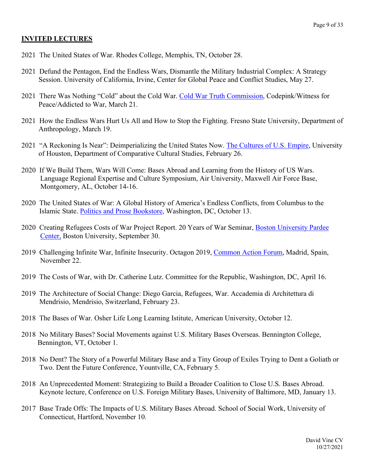#### **INVITED LECTURES**

- 2021 The United States of War. Rhodes College, Memphis, TN, October 28.
- 2021 Defund the Pentagon, End the Endless Wars, Dismantle the Military Industrial Complex: A Strategy Session. University of California, Irvine, Center for Global Peace and Conflict Studies, May 27.
- 2021 There Was Nothing "Cold" about the Cold War. Cold War Truth Commission, Codepink/Witness for Peace/Addicted to War, March 21.
- 2021 How the Endless Wars Hurt Us All and How to Stop the Fighting. Fresno State University, Department of Anthropology, March 19.
- 2021 "A Reckoning Is Near": Deimperializing the United States Now. The Cultures of U.S. Empire, University of Houston, Department of Comparative Cultural Studies, February 26.
- 2020 If We Build Them, Wars Will Come: Bases Abroad and Learning from the History of US Wars. Language Regional Expertise and Culture Symposium, Air University, Maxwell Air Force Base, Montgomery, AL, October 14-16.
- 2020 The United States of War: A Global History of America's Endless Conflicts, from Columbus to the Islamic State. Politics and Prose Bookstore, Washington, DC, October 13.
- 2020 Creating Refugees Costs of War Project Report. 20 Years of War Seminar, Boston University Pardee Center, Boston University, September 30.
- 2019 Challenging Infinite War, Infinite Insecurity. Octagon 2019, Common Action Forum, Madrid, Spain, November 22.
- 2019 The Costs of War, with Dr. Catherine Lutz. Committee for the Republic, Washington, DC, April 16.
- 2019 The Architecture of Social Change: Diego Garcia, Refugees, War. Accademia di Architettura di Mendrisio, Mendrisio, Switzerland, February 23.
- 2018 The Bases of War. Osher Life Long Learning Istitute, American University, October 12.
- 2018 No Military Bases? Social Movements against U.S. Military Bases Overseas. Bennington College, Bennington, VT, October 1.
- 2018 No Dent? The Story of a Powerful Military Base and a Tiny Group of Exiles Trying to Dent a Goliath or Two. Dent the Future Conference, Yountville, CA, February 5.
- 2018 An Unprecedented Moment: Strategizing to Build a Broader Coalition to Close U.S. Bases Abroad. Keynote lecture, Conference on U.S. Foreign Military Bases, University of Baltimore, MD, January 13.
- 2017 Base Trade Offs: The Impacts of U.S. Military Bases Abroad. School of Social Work, University of Connecticut, Hartford, November 10.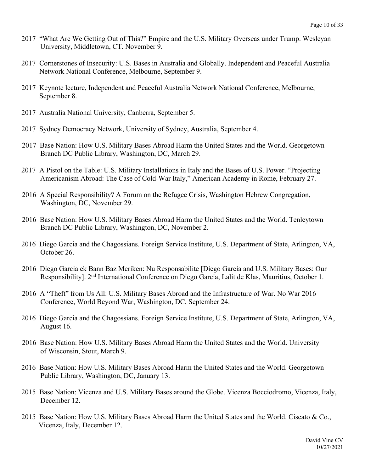- 2017 "What Are We Getting Out of This?" Empire and the U.S. Military Overseas under Trump. Wesleyan University, Middletown, CT. November 9.
- 2017 Cornerstones of Insecurity: U.S. Bases in Australia and Globally. Independent and Peaceful Australia Network National Conference, Melbourne, September 9.
- 2017 Keynote lecture, Independent and Peaceful Australia Network National Conference, Melbourne, September 8.
- 2017 Australia National University, Canberra, September 5.
- 2017 Sydney Democracy Network, University of Sydney, Australia, September 4.
- 2017 Base Nation: How U.S. Military Bases Abroad Harm the United States and the World. Georgetown Branch DC Public Library, Washington, DC, March 29.
- 2017 A Pistol on the Table: U.S. Military Installations in Italy and the Bases of U.S. Power. "Projecting Americanism Abroad: The Case of Cold-War Italy," American Academy in Rome, February 27.
- 2016 A Special Responsibility? A Forum on the Refugee Crisis, Washington Hebrew Congregation, Washington, DC, November 29.
- 2016 Base Nation: How U.S. Military Bases Abroad Harm the United States and the World. Tenleytown Branch DC Public Library, Washington, DC, November 2.
- 2016 Diego Garcia and the Chagossians. Foreign Service Institute, U.S. Department of State, Arlington, VA, October 26.
- 2016 Diego Garcia ek Bann Baz Meriken: Nu Responsabilite [Diego Garcia and U.S. Military Bases: Our Responsibility]. 2<sup>nd</sup> International Conference on Diego Garcia, Lalit de Klas, Mauritius, October 1.
- 2016 A "Theft" from Us All: U.S. Military Bases Abroad and the Infrastructure of War. No War 2016 Conference, World Beyond War, Washington, DC, September 24.
- 2016 Diego Garcia and the Chagossians. Foreign Service Institute, U.S. Department of State, Arlington, VA, August 16.
- 2016 Base Nation: How U.S. Military Bases Abroad Harm the United States and the World. University of Wisconsin, Stout, March 9.
- 2016 Base Nation: How U.S. Military Bases Abroad Harm the United States and the World. Georgetown Public Library, Washington, DC, January 13.
- 2015 Base Nation: Vicenza and U.S. Military Bases around the Globe. Vicenza Bocciodromo, Vicenza, Italy, December 12.
- 2015 Base Nation: How U.S. Military Bases Abroad Harm the United States and the World. Ciscato & Co., Vicenza, Italy, December 12.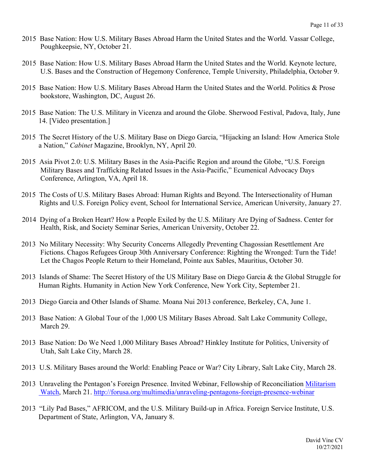- 2015 Base Nation: How U.S. Military Bases Abroad Harm the United States and the World. Vassar College, Poughkeepsie, NY, October 21.
- 2015 Base Nation: How U.S. Military Bases Abroad Harm the United States and the World. Keynote lecture, U.S. Bases and the Construction of Hegemony Conference, Temple University, Philadelphia, October 9.
- 2015 Base Nation: How U.S. Military Bases Abroad Harm the United States and the World. Politics & Prose bookstore, Washington, DC, August 26.
- 2015 Base Nation: The U.S. Military in Vicenza and around the Globe. Sherwood Festival, Padova, Italy, June 14. [Video presentation.]
- 2015 The Secret History of the U.S. Military Base on Diego Garcia, "Hijacking an Island: How America Stole a Nation," *Cabinet* Magazine, Brooklyn, NY, April 20.
- 2015 Asia Pivot 2.0: U.S. Military Bases in the Asia-Pacific Region and around the Globe, "U.S. Foreign Military Bases and Trafficking Related Issues in the Asia-Pacific," Ecumenical Advocacy Days Conference, Arlington, VA, April 18.
- 2015 The Costs of U.S. Military Bases Abroad: Human Rights and Beyond. The Intersectionality of Human Rights and U.S. Foreign Policy event, School for International Service, American University, January 27.
- 2014 Dying of a Broken Heart? How a People Exiled by the U.S. Military Are Dying of Sadness. Center for Health, Risk, and Society Seminar Series, American University, October 22.
- 2013 No Military Necessity: Why Security Concerns Allegedly Preventing Chagossian Resettlement Are Fictions. Chagos Refugees Group 30th Anniversary Conference: Righting the Wronged: Turn the Tide! Let the Chagos People Return to their Homeland, Pointe aux Sables, Mauritius, October 30.
- 2013 Islands of Shame: The Secret History of the US Military Base on Diego Garcia & the Global Struggle for Human Rights. Humanity in Action New York Conference, New York City, September 21.
- 2013 Diego Garcia and Other Islands of Shame. Moana Nui 2013 conference, Berkeley, CA, June 1.
- 2013 Base Nation: A Global Tour of the 1,000 US Military Bases Abroad. Salt Lake Community College, March 29.
- 2013 Base Nation: Do We Need 1,000 Military Bases Abroad? Hinkley Institute for Politics, University of Utah, Salt Lake City, March 28.
- 2013 U.S. Military Bases around the World: Enabling Peace or War? City Library, Salt Lake City, March 28.
- 2013 Unraveling the Pentagon's Foreign Presence. Invited Webinar, Fellowship of Reconciliation Militarism Watch, March 21. http://forusa.org/multimedia/unraveling-pentagons-foreign-presence-webinar
- 2013 "Lily Pad Bases," AFRICOM, and the U.S. Military Build-up in Africa. Foreign Service Institute, U.S. Department of State, Arlington, VA, January 8.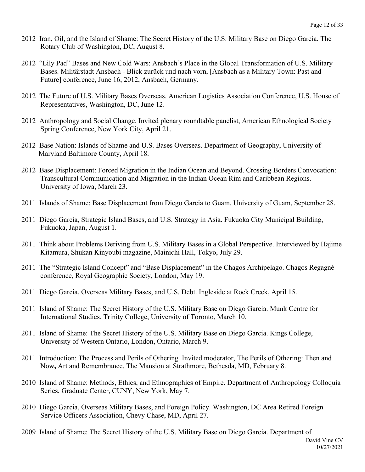- 2012 Iran, Oil, and the Island of Shame: The Secret History of the U.S. Military Base on Diego Garcia. The Rotary Club of Washington, DC, August 8.
- 2012 "Lily Pad" Bases and New Cold Wars: Ansbach's Place in the Global Transformation of U.S. Military Bases. Militärstadt Ansbach - Blick zurück und nach vorn, [Ansbach as a Military Town: Past and Future] conference, June 16, 2012, Ansbach, Germany.
- 2012 The Future of U.S. Military Bases Overseas. American Logistics Association Conference, U.S. House of Representatives, Washington, DC, June 12.
- 2012 Anthropology and Social Change. Invited plenary roundtable panelist, American Ethnological Society Spring Conference, New York City, April 21.
- 2012 Base Nation: Islands of Shame and U.S. Bases Overseas. Department of Geography, University of Maryland Baltimore County, April 18.
- 2012 Base Displacement: Forced Migration in the Indian Ocean and Beyond. Crossing Borders Convocation: Transcultural Communication and Migration in the Indian Ocean Rim and Caribbean Regions. University of Iowa, March 23.
- 2011 Islands of Shame: Base Displacement from Diego Garcia to Guam. University of Guam, September 28.
- 2011 Diego Garcia, Strategic Island Bases, and U.S. Strategy in Asia. Fukuoka City Municipal Building, Fukuoka, Japan, August 1.
- 2011 Think about Problems Deriving from U.S. Military Bases in a Global Perspective. Interviewed by Hajime Kitamura, Shukan Kinyoubi magazine, Mainichi Hall, Tokyo, July 29.
- 2011 The "Strategic Island Concept" and "Base Displacement" in the Chagos Archipelago. Chagos Regagné conference, Royal Geographic Society, London, May 19.
- 2011 Diego Garcia, Overseas Military Bases, and U.S. Debt. Ingleside at Rock Creek, April 15.
- 2011 Island of Shame: The Secret History of the U.S. Military Base on Diego Garcia. Munk Centre for International Studies, Trinity College, University of Toronto, March 10.
- 2011 Island of Shame: The Secret History of the U.S. Military Base on Diego Garcia. Kings College, University of Western Ontario, London, Ontario, March 9.
- 2011Introduction: The Process and Perils of Othering. Invited moderator, The Perils of Othering: Then and Now**,** Art and Remembrance, The Mansion at Strathmore, Bethesda, MD, February 8.
- 2010 Island of Shame: Methods, Ethics, and Ethnographies of Empire. Department of Anthropology Colloquia Series, Graduate Center, CUNY, New York, May 7.
- 2010 Diego Garcia, Overseas Military Bases, and Foreign Policy. Washington, DC Area Retired Foreign Service Officers Association, Chevy Chase, MD, April 27.
- 2009 Island of Shame: The Secret History of the U.S. Military Base on Diego Garcia. Department of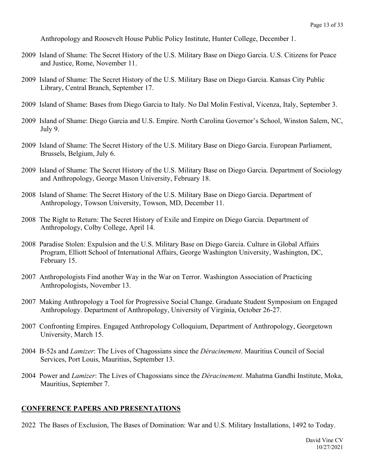Anthropology and Roosevelt House Public Policy Institute, Hunter College, December 1.

- 2009 Island of Shame: The Secret History of the U.S. Military Base on Diego Garcia. U.S. Citizens for Peace and Justice, Rome, November 11.
- 2009 Island of Shame: The Secret History of the U.S. Military Base on Diego Garcia. Kansas City Public Library, Central Branch, September 17.
- 2009 Island of Shame: Bases from Diego Garcia to Italy. No Dal Molin Festival, Vicenza, Italy, September 3.
- 2009 Island of Shame: Diego Garcia and U.S. Empire. North Carolina Governor's School, Winston Salem, NC, July 9.
- 2009 Island of Shame: The Secret History of the U.S. Military Base on Diego Garcia. European Parliament, Brussels, Belgium, July 6.
- 2009 Island of Shame: The Secret History of the U.S. Military Base on Diego Garcia. Department of Sociology and Anthropology, George Mason University, February 18.
- 2008 Island of Shame: The Secret History of the U.S. Military Base on Diego Garcia. Department of Anthropology, Towson University, Towson, MD, December 11.
- 2008 The Right to Return: The Secret History of Exile and Empire on Diego Garcia. Department of Anthropology, Colby College, April 14.
- 2008 Paradise Stolen: Expulsion and the U.S. Military Base on Diego Garcia. Culture in Global Affairs Program, Elliott School of International Affairs, George Washington University, Washington, DC, February 15.
- 2007 Anthropologists Find another Way in the War on Terror. Washington Association of Practicing Anthropologists, November 13.
- 2007 Making Anthropology a Tool for Progressive Social Change. Graduate Student Symposium on Engaged Anthropology. Department of Anthropology, University of Virginia, October 26-27.
- 2007 Confronting Empires. Engaged Anthropology Colloquium, Department of Anthropology, Georgetown University, March 15.
- 2004 B-52s and *Lamizer*: The Lives of Chagossians since the *Déracinement*. Mauritius Council of Social Services, Port Louis, Mauritius, September 13.
- 2004 Power and *Lamizer*: The Lives of Chagossians since the *Déracinement*. Mahatma Gandhi Institute, Moka, Mauritius, September 7.

#### **CONFERENCE PAPERS AND PRESENTATIONS**

2022 The Bases of Exclusion, The Bases of Domination: War and U.S. Military Installations, 1492 to Today.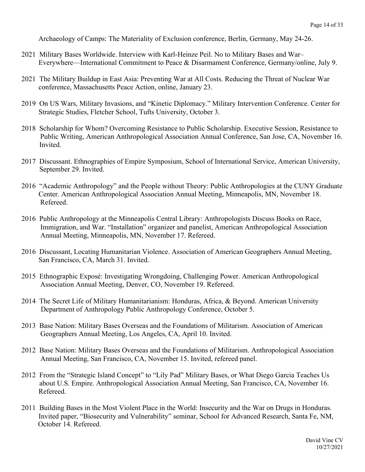Archaeology of Camps: The Materiality of Exclusion conference, Berlin, Germany, May 24-26.

- 2021 Military Bases Worldwide. Interview with Karl-Heinze Peil. No to Military Bases and War– Everywhere—International Commitment to Peace & Disarmament Conference, Germany/online, July 9.
- 2021 The Military Buildup in East Asia: Preventing War at All Costs. Reducing the Threat of Nuclear War conference, Massachusetts Peace Action, online, January 23.
- 2019 On US Wars, Military Invasions, and "Kinetic Diplomacy." Military Intervention Conference. Center for Strategic Studies, Fletcher School, Tufts University, October 3.
- 2018 Scholarship for Whom? Overcoming Resistance to Public Scholarship. Executive Session, Resistance to Public Writing, American Anthropological Association Annual Conference, San Jose, CA, November 16. Invited.
- 2017 Discussant. Ethnographies of Empire Symposium, School of International Service, American University, September 29. Invited.
- 2016 "Academic Anthropology" and the People without Theory: Public Anthropologies at the CUNY Graduate Center. American Anthropological Association Annual Meeting, Minneapolis, MN, November 18. Refereed.
- 2016 Public Anthropology at the Minneapolis Central Library: Anthropologists Discuss Books on Race, Immigration, and War. "Installation" organizer and panelist, American Anthropological Association Annual Meeting, Minneapolis, MN, November 17. Refereed.
- 2016 Discussant, Locating Humanitarian Violence. Association of American Geographers Annual Meeting, San Francisco, CA, March 31. Invited.
- 2015 Ethnographic Exposé: Investigating Wrongdoing, Challenging Power. American Anthropological Association Annual Meeting, Denver, CO, November 19. Refereed.
- 2014 The Secret Life of Military Humanitarianism: Honduras, Africa, & Beyond. American University Department of Anthropology Public Anthropology Conference, October 5.
- 2013 Base Nation: Military Bases Overseas and the Foundations of Militarism. Association of American Geographers Annual Meeting, Los Angeles, CA, April 10. Invited.
- 2012 Base Nation: Military Bases Overseas and the Foundations of Militarism. Anthropological Association Annual Meeting, San Francisco, CA, November 15. Invited, refereed panel.
- 2012 From the "Strategic Island Concept" to "Lily Pad" Military Bases, or What Diego Garcia Teaches Us about U.S. Empire. Anthropological Association Annual Meeting, San Francisco, CA, November 16. Refereed.
- 2011 Building Bases in the Most Violent Place in the World: Insecurity and the War on Drugs in Honduras. Invited paper, "Biosecurity and Vulnerability" seminar, School for Advanced Research, Santa Fe, NM, October 14. Refereed.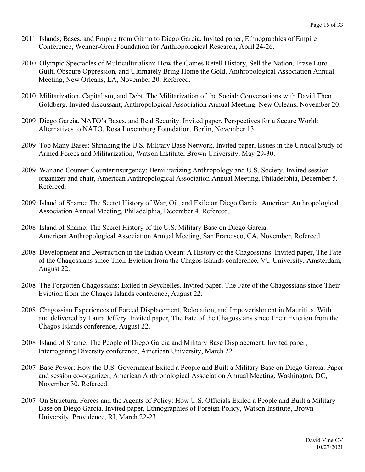- 2011 Islands, Bases, and Empire from Gitmo to Diego Garcia. Invited paper, Ethnographies of Empire Conference, Wenner-Gren Foundation for Anthropological Research, April 24-26.
- 2010 Olympic Spectacles of Multiculturalism: How the Games Retell History, Sell the Nation, Erase Euro-Guilt, Obscure Oppression, and Ultimately Bring Home the Gold. Anthropological Association Annual Meeting, New Orleans, LA, November 20. Refereed.
- 2010 Militarization, Capitalism, and Debt. The Militarization of the Social: Conversations with David Theo Goldberg. Invited discussant, Anthropological Association Annual Meeting, New Orleans, November 20.
- 2009 Diego Garcia, NATO's Bases, and Real Security. Invited paper, Perspectives for a Secure World: Alternatives to NATO, Rosa Luxemburg Foundation, Berlin, November 13.
- 2009 Too Many Bases: Shrinking the U.S. Military Base Network. Invited paper, Issues in the Critical Study of Armed Forces and Militarization, Watson Institute, Brown University, May 29-30.
- 2009 War and Counter-Counterinsurgency: Demilitarizing Anthropology and U.S. Society. Invited session organizer and chair, American Anthropological Association Annual Meeting, Philadelphia, December 5. Refereed.
- 2009 Island of Shame: The Secret History of War, Oil, and Exile on Diego Garcia. American Anthropological Association Annual Meeting, Philadelphia, December 4. Refereed.
- 2008 Island of Shame: The Secret History of the U.S. Military Base on Diego Garcia. American Anthropological Association Annual Meeting, San Francisco, CA, November. Refereed.
- 2008 Development and Destruction in the Indian Ocean: A History of the Chagossians. Invited paper, The Fate of the Chagossians since Their Eviction from the Chagos Islands conference, VU University, Amsterdam, August 22.
- 2008 The Forgotten Chagossians: Exiled in Seychelles. Invited paper, The Fate of the Chagossians since Their Eviction from the Chagos Islands conference, August 22.
- 2008 Chagossian Experiences of Forced Displacement, Relocation, and Impoverishment in Mauritius. With and delivered by Laura Jeffery. Invited paper, The Fate of the Chagossians since Their Eviction from the Chagos Islands conference, August 22.
- 2008 Island of Shame: The People of Diego Garcia and Military Base Displacement. Invited paper, Interrogating Diversity conference, American University, March 22.
- 2007 Base Power: How the U.S. Government Exiled a People and Built a Military Base on Diego Garcia. Paper and session co-organizer, American Anthropological Association Annual Meeting, Washington, DC, November 30. Refereed.
- 2007 On Structural Forces and the Agents of Policy: How U.S. Officials Exiled a People and Built a Military Base on Diego Garcia. Invited paper, Ethnographies of Foreign Policy, Watson Institute, Brown University, Providence, RI, March 22-23.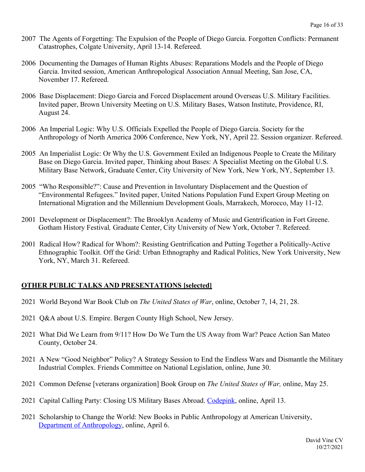- 2007 The Agents of Forgetting: The Expulsion of the People of Diego Garcia. Forgotten Conflicts: Permanent Catastrophes, Colgate University, April 13-14. Refereed.
- 2006 Documenting the Damages of Human Rights Abuses: Reparations Models and the People of Diego Garcia. Invited session, American Anthropological Association Annual Meeting, San Jose, CA, November 17. Refereed.
- 2006 Base Displacement: Diego Garcia and Forced Displacement around Overseas U.S. Military Facilities. Invited paper, Brown University Meeting on U.S. Military Bases, Watson Institute, Providence, RI, August 24.
- 2006 An Imperial Logic: Why U.S. Officials Expelled the People of Diego Garcia. Society for the Anthropology of North America 2006 Conference, New York, NY, April 22. Session organizer. Refereed.
- 2005 An Imperialist Logic: Or Why the U.S. Government Exiled an Indigenous People to Create the Military Base on Diego Garcia. Invited paper, Thinking about Bases: A Specialist Meeting on the Global U.S. Military Base Network, Graduate Center, City University of New York, New York, NY, September 13.
- 2005 "Who Responsible?": Cause and Prevention in Involuntary Displacement and the Question of "Environmental Refugees." Invited paper, United Nations Population Fund Expert Group Meeting on International Migration and the Millennium Development Goals, Marrakech, Morocco, May 11-12.
- 2001 Development or Displacement?: The Brooklyn Academy of Music and Gentrification in Fort Greene. Gotham History Festival*,* Graduate Center, City University of New York, October 7. Refereed.
- 2001 Radical How? Radical for Whom?: Resisting Gentrification and Putting Together a Politically-Active Ethnographic Toolkit. Off the Grid: Urban Ethnography and Radical Politics, New York University, New York, NY, March 31. Refereed.

# **OTHER PUBLIC TALKS AND PRESENTATIONS [selected]**

- 2021 World Beyond War Book Club on *The United States of War*, online, October 7, 14, 21, 28.
- 2021 Q&A about U.S. Empire. Bergen County High School, New Jersey.
- 2021 What Did We Learn from 9/11? How Do We Turn the US Away from War? Peace Action San Mateo County, October 24.
- 2021 A New "Good Neighbor" Policy? A Strategy Session to End the Endless Wars and Dismantle the Military Industrial Complex. Friends Committee on National Legislation, online, June 30.
- 2021 Common Defense [veterans organization] Book Group on *The United States of War,* online, May 25.
- 2021 Capital Calling Party: Closing US Military Bases Abroad. Codepink, online, April 13.
- 2021 Scholarship to Change the World: New Books in Public Anthropology at American University, Department of Anthropology, online, April 6.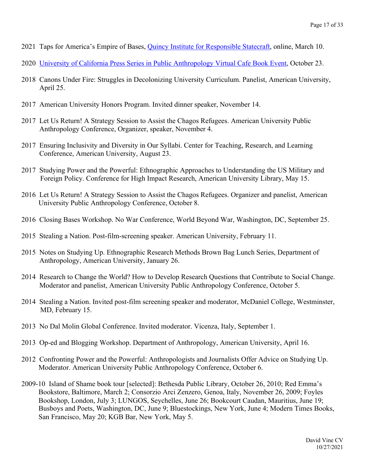- 2021 Taps for America's Empire of Bases, Quincy Institute for Responsible Statecraft, online, March 10.
- 2020 University of California Press Series in Public Anthropology Virtual Cafe Book Event, October 23.
- 2018 Canons Under Fire: Struggles in Decolonizing University Curriculum. Panelist, American University, April 25.
- 2017 American University Honors Program. Invited dinner speaker, November 14.
- 2017 Let Us Return! A Strategy Session to Assist the Chagos Refugees. American University Public Anthropology Conference, Organizer, speaker, November 4.
- 2017 Ensuring Inclusivity and Diversity in Our Syllabi. Center for Teaching, Research, and Learning Conference, American University, August 23.
- 2017 Studying Power and the Powerful: Ethnographic Approaches to Understanding the US Military and Foreign Policy. Conference for High Impact Research, American University Library, May 15.
- 2016 Let Us Return! A Strategy Session to Assist the Chagos Refugees. Organizer and panelist, American University Public Anthropology Conference, October 8.
- 2016 Closing Bases Workshop. No War Conference, World Beyond War, Washington, DC, September 25.
- 2015 Stealing a Nation. Post-film-screening speaker. American University, February 11.
- 2015 Notes on Studying Up. Ethnographic Research Methods Brown Bag Lunch Series, Department of Anthropology, American University, January 26.
- 2014 Research to Change the World? How to Develop Research Questions that Contribute to Social Change. Moderator and panelist, American University Public Anthropology Conference, October 5.
- 2014 Stealing a Nation. Invited post-film screening speaker and moderator, McDaniel College, Westminster, MD, February 15.
- 2013 No Dal Molin Global Conference. Invited moderator. Vicenza, Italy, September 1.
- 2013 Op-ed and Blogging Workshop. Department of Anthropology, American University, April 16.
- 2012 Confronting Power and the Powerful: Anthropologists and Journalists Offer Advice on Studying Up. Moderator. American University Public Anthropology Conference, October 6.
- 2009-10 Island of Shame book tour [selected]: Bethesda Public Library, October 26, 2010; Red Emma's Bookstore, Baltimore, March 2; Consorzio Arci Zenzero, Genoa, Italy, November 26, 2009; Foyles Bookshop, London, July 3; LUNGOS, Seychelles, June 26; Bookcourt Caudan, Mauritius, June 19; Busboys and Poets, Washington, DC, June 9; Bluestockings, New York, June 4; Modern Times Books, San Francisco, May 20; KGB Bar, New York, May 5.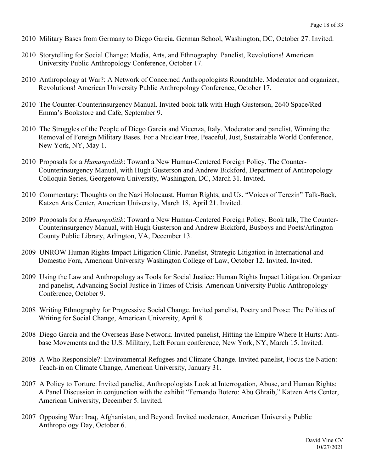- 2010 Military Bases from Germany to Diego Garcia. German School, Washington, DC, October 27. Invited.
- 2010 Storytelling for Social Change: Media, Arts, and Ethnography. Panelist, Revolutions! American University Public Anthropology Conference, October 17.
- 2010 Anthropology at War?: A Network of Concerned Anthropologists Roundtable. Moderator and organizer, Revolutions! American University Public Anthropology Conference, October 17.
- 2010 The Counter-Counterinsurgency Manual. Invited book talk with Hugh Gusterson, 2640 Space/Red Emma's Bookstore and Cafe, September 9.
- 2010 The Struggles of the People of Diego Garcia and Vicenza, Italy. Moderator and panelist, Winning the Removal of Foreign Military Bases. For a Nuclear Free, Peaceful, Just, Sustainable World Conference, New York, NY, May 1.
- 2010 Proposals for a *Humanpolitik*: Toward a New Human-Centered Foreign Policy. The Counter-Counterinsurgency Manual, with Hugh Gusterson and Andrew Bickford, Department of Anthropology Colloquia Series, Georgetown University, Washington, DC, March 31. Invited.
- 2010 Commentary: Thoughts on the Nazi Holocaust, Human Rights, and Us. "Voices of Terezin" Talk-Back, Katzen Arts Center, American University, March 18, April 21. Invited.
- 2009 Proposals for a *Humanpolitik*: Toward a New Human-Centered Foreign Policy. Book talk, The Counter-Counterinsurgency Manual, with Hugh Gusterson and Andrew Bickford, Busboys and Poets/Arlington County Public Library, Arlington, VA, December 13.
- 2009 UNROW Human Rights Impact Litigation Clinic. Panelist, Strategic Litigation in International and Domestic Fora, American University Washington College of Law, October 12. Invited. Invited.
- 2009 Using the Law and Anthropology as Tools for Social Justice: Human Rights Impact Litigation. Organizer and panelist, Advancing Social Justice in Times of Crisis. American University Public Anthropology Conference, October 9.
- 2008 Writing Ethnography for Progressive Social Change. Invited panelist, Poetry and Prose: The Politics of Writing for Social Change, American University, April 8.
- 2008 Diego Garcia and the Overseas Base Network. Invited panelist, Hitting the Empire Where It Hurts: Antibase Movements and the U.S. Military, Left Forum conference, New York, NY, March 15. Invited.
- 2008 A Who Responsible?: Environmental Refugees and Climate Change. Invited panelist, Focus the Nation: Teach-in on Climate Change, American University, January 31.
- 2007 A Policy to Torture. Invited panelist, Anthropologists Look at Interrogation, Abuse, and Human Rights: A Panel Discussion in conjunction with the exhibit "Fernando Botero: Abu Ghraib," Katzen Arts Center, American University, December 5. Invited.
- 2007 Opposing War: Iraq, Afghanistan, and Beyond. Invited moderator, American University Public Anthropology Day, October 6.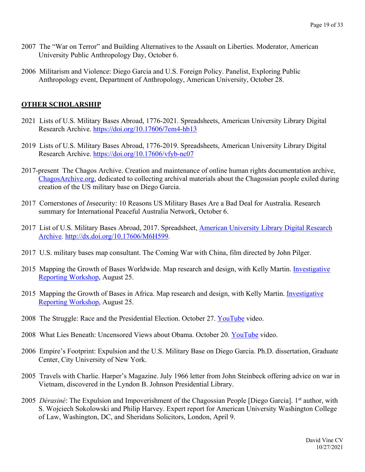- 2007 The "War on Terror" and Building Alternatives to the Assault on Liberties. Moderator, American University Public Anthropology Day, October 6.
- 2006 Militarism and Violence: Diego Garcia and U.S. Foreign Policy. Panelist, Exploring Public Anthropology event, Department of Anthropology, American University, October 28.

## **OTHER SCHOLARSHIP**

- 2021 Lists of U.S. Military Bases Abroad, 1776-2021. Spreadsheets, American University Library Digital Research Archive. https://doi.org/10.17606/7em4-hb13
- 2019 Lists of U.S. Military Bases Abroad, 1776-2019. Spreadsheets, American University Library Digital Research Archive. https://doi.org/10.17606/vfyb-nc07
- 2017-present The Chagos Archive. Creation and maintenance of online human rights documentation archive, ChagosArchive.org, dedicated to collecting archival materials about the Chagossian people exiled during creation of the US military base on Diego Garcia.
- 2017 Cornerstones of *In*security: 10 Reasons US Military Bases Are a Bad Deal for Australia. Research summary for International Peaceful Australia Network, October 6.
- 2017 List of U.S. Military Bases Abroad, 2017. Spreadsheet, American University Library Digital Research Archive. http://dx.doi.org/10.17606/M6H599.
- 2017 U.S. military bases map consultant. The Coming War with China, film directed by John Pilger.
- 2015 Mapping the Growth of Bases Worldwide. Map research and design, with Kelly Martin. Investigative Reporting Workshop, August 25.
- 2015 Mapping the Growth of Bases in Africa. Map research and design, with Kelly Martin. Investigative Reporting Workshop, August 25.
- 2008 The Struggle: Race and the Presidential Election. October 27. YouTube video.
- 2008 What Lies Beneath: Uncensored Views about Obama. October 20. YouTube video.
- 2006 Empire's Footprint: Expulsion and the U.S. Military Base on Diego Garcia. Ph.D. dissertation, Graduate Center, City University of New York.
- 2005 Travels with Charlie. Harper's Magazine. July 1966 letter from John Steinbeck offering advice on war in Vietnam, discovered in the Lyndon B. Johnson Presidential Library.
- 2005 *Dérasiné*: The Expulsion and Impoverishment of the Chagossian People [Diego Garcia]. 1<sup>st</sup> author, with S. Wojciech Sokolowski and Philip Harvey. Expert report for American University Washington College of Law, Washington, DC, and Sheridans Solicitors, London, April 9.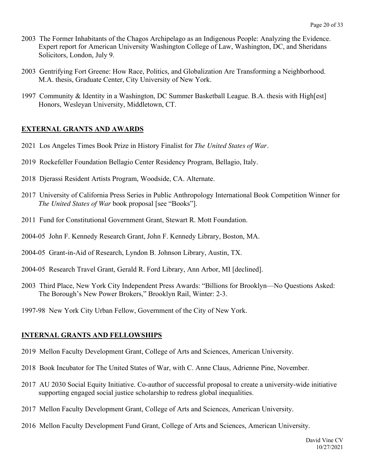- 2003 The Former Inhabitants of the Chagos Archipelago as an Indigenous People: Analyzing the Evidence. Expert report for American University Washington College of Law, Washington, DC, and Sheridans Solicitors, London, July 9.
- 2003 Gentrifying Fort Greene: How Race, Politics, and Globalization Are Transforming a Neighborhood. M.A. thesis, Graduate Center, City University of New York.
- 1997 Community & Identity in a Washington, DC Summer Basketball League. B.A. thesis with High[est] Honors, Wesleyan University, Middletown, CT.

#### **EXTERNAL GRANTS AND AWARDS**

- 2021 Los Angeles Times Book Prize in History Finalist for *The United States of War*.
- 2019 Rockefeller Foundation Bellagio Center Residency Program, Bellagio, Italy.
- 2018 Djerassi Resident Artists Program, Woodside, CA. Alternate.
- 2017 University of California Press Series in Public Anthropology International Book Competition Winner for *The United States of War* book proposal [see "Books"].
- 2011 Fund for Constitutional Government Grant, Stewart R. Mott Foundation.
- 2004-05 John F. Kennedy Research Grant, John F. Kennedy Library, Boston, MA.
- 2004-05 Grant-in-Aid of Research, Lyndon B. Johnson Library, Austin, TX.
- 2004-05 Research Travel Grant, Gerald R. Ford Library, Ann Arbor, MI [declined].
- 2003 Third Place, New York City Independent Press Awards: "Billions for Brooklyn—No Questions Asked: The Borough's New Power Brokers," Brooklyn Rail, Winter: 2-3.
- 1997-98 New York City Urban Fellow, Government of the City of New York.

#### **INTERNAL GRANTS AND FELLOWSHIPS**

- 2019 Mellon Faculty Development Grant, College of Arts and Sciences, American University.
- 2018 Book Incubator for The United States of War, with C. Anne Claus, Adrienne Pine, November.
- 2017 AU 2030 Social Equity Initiative. Co-author of successful proposal to create a university-wide initiative supporting engaged social justice scholarship to redress global inequalities.
- 2017 Mellon Faculty Development Grant, College of Arts and Sciences, American University.
- 2016 Mellon Faculty Development Fund Grant, College of Arts and Sciences, American University.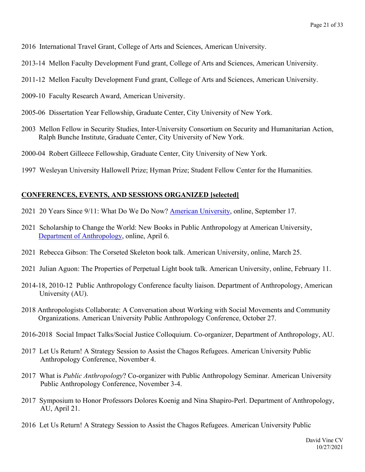- 2016 International Travel Grant, College of Arts and Sciences, American University.
- 2013-14 Mellon Faculty Development Fund grant, College of Arts and Sciences, American University.
- 2011-12 Mellon Faculty Development Fund grant, College of Arts and Sciences, American University.
- 2009-10 Faculty Research Award, American University.
- 2005-06 Dissertation Year Fellowship, Graduate Center, City University of New York.
- 2003 Mellon Fellow in Security Studies, Inter-University Consortium on Security and Humanitarian Action, Ralph Bunche Institute, Graduate Center, City University of New York.
- 2000-04 Robert Gilleece Fellowship, Graduate Center, City University of New York.
- 1997 Wesleyan University Hallowell Prize; Hyman Prize; Student Fellow Center for the Humanities.

## **CONFERENCES, EVENTS, AND SESSIONS ORGANIZED [selected]**

- 2021 20 Years Since 9/11: What Do We Do Now? American University, online, September 17.
- 2021 Scholarship to Change the World: New Books in Public Anthropology at American University, Department of Anthropology, online, April 6.
- 2021 Rebecca Gibson: The Corseted Skeleton book talk. American University, online, March 25.
- 2021 Julian Aguon: The Properties of Perpetual Light book talk. American University, online, February 11.
- 2014-18, 2010-12 Public Anthropology Conference faculty liaison. Department of Anthropology, American University (AU).
- 2018 Anthropologists Collaborate: A Conversation about Working with Social Movements and Community Organizations. American University Public Anthropology Conference, October 27.
- 2016-2018 Social Impact Talks/Social Justice Colloquium. Co-organizer, Department of Anthropology, AU.
- 2017 Let Us Return! A Strategy Session to Assist the Chagos Refugees. American University Public Anthropology Conference, November 4.
- 2017 What is *Public Anthropology*? Co-organizer with Public Anthropology Seminar. American University Public Anthropology Conference, November 3-4.
- 2017 Symposium to Honor Professors Dolores Koenig and Nina Shapiro-Perl. Department of Anthropology, AU, April 21.
- 2016 Let Us Return! A Strategy Session to Assist the Chagos Refugees. American University Public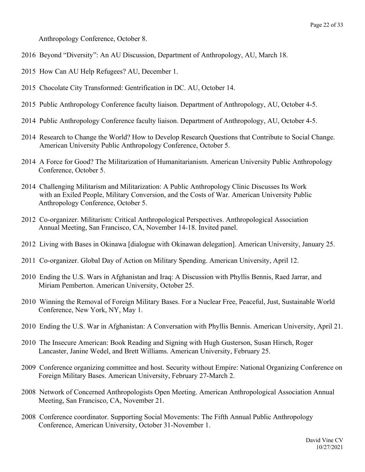Anthropology Conference, October 8.

- 2016 Beyond "Diversity": An AU Discussion, Department of Anthropology, AU, March 18.
- 2015 How Can AU Help Refugees? AU, December 1.
- 2015 Chocolate City Transformed: Gentrification in DC. AU, October 14.
- 2015 Public Anthropology Conference faculty liaison. Department of Anthropology, AU, October 4-5.
- 2014 Public Anthropology Conference faculty liaison. Department of Anthropology, AU, October 4-5.
- 2014 Research to Change the World? How to Develop Research Questions that Contribute to Social Change. American University Public Anthropology Conference, October 5.
- 2014 A Force for Good? The Militarization of Humanitarianism. American University Public Anthropology Conference, October 5.
- 2014 Challenging Militarism and Militarization: A Public Anthropology Clinic Discusses Its Work with an Exiled People, Military Conversion, and the Costs of War. American University Public Anthropology Conference, October 5.
- 2012 Co-organizer. Militarism: Critical Anthropological Perspectives. Anthropological Association Annual Meeting, San Francisco, CA, November 14-18. Invited panel.
- 2012 Living with Bases in Okinawa [dialogue with Okinawan delegation]. American University, January 25.
- 2011 Co-organizer. Global Day of Action on Military Spending. American University, April 12.
- 2010 Ending the U.S. Wars in Afghanistan and Iraq: A Discussion with Phyllis Bennis, Raed Jarrar, and Miriam Pemberton. American University, October 25.
- 2010 Winning the Removal of Foreign Military Bases. For a Nuclear Free, Peaceful, Just, Sustainable World Conference, New York, NY, May 1.
- 2010 Ending the U.S. War in Afghanistan: A Conversation with Phyllis Bennis. American University, April 21.
- 2010 The Insecure American: Book Reading and Signing with Hugh Gusterson, Susan Hirsch, Roger Lancaster, Janine Wedel, and Brett Williams. American University, February 25.
- 2009 Conference organizing committee and host. Security without Empire: National Organizing Conference on Foreign Military Bases. American University, February 27-March 2.
- 2008 Network of Concerned Anthropologists Open Meeting. American Anthropological Association Annual Meeting, San Francisco, CA, November 21.
- 2008 Conference coordinator. Supporting Social Movements: The Fifth Annual Public Anthropology Conference, American University, October 31-November 1.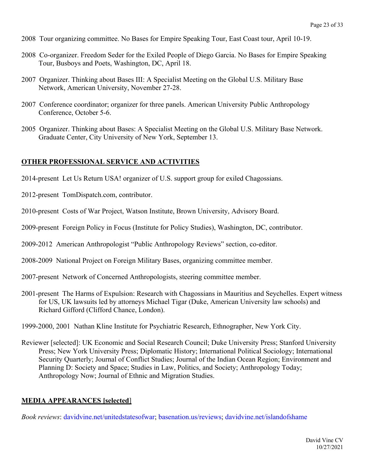- 2008 Tour organizing committee. No Bases for Empire Speaking Tour, East Coast tour, April 10-19.
- 2008 Co-organizer. Freedom Seder for the Exiled People of Diego Garcia. No Bases for Empire Speaking Tour, Busboys and Poets, Washington, DC, April 18.
- 2007 Organizer. Thinking about Bases III: A Specialist Meeting on the Global U.S. Military Base Network, American University, November 27-28.
- 2007 Conference coordinator; organizer for three panels. American University Public Anthropology Conference, October 5-6.
- 2005 Organizer. Thinking about Bases: A Specialist Meeting on the Global U.S. Military Base Network. Graduate Center, City University of New York, September 13.

#### **OTHER PROFESSIONAL SERVICE AND ACTIVITIES**

- 2014-present Let Us Return USA! organizer of U.S. support group for exiled Chagossians.
- 2012-present TomDispatch.com, contributor.
- 2010-present Costs of War Project, Watson Institute, Brown University, Advisory Board.
- 2009-present Foreign Policy in Focus (Institute for Policy Studies), Washington, DC, contributor.
- 2009-2012 American Anthropologist "Public Anthropology Reviews" section, co-editor.
- 2008-2009 National Project on Foreign Military Bases, organizing committee member.
- 2007-present Network of Concerned Anthropologists, steering committee member.
- 2001-present The Harms of Expulsion: Research with Chagossians in Mauritius and Seychelles. Expert witness for US, UK lawsuits led by attorneys Michael Tigar (Duke, American University law schools) and Richard Gifford (Clifford Chance, London).
- 1999-2000, 2001 Nathan Kline Institute for Psychiatric Research, Ethnographer, New York City.
- Reviewer [selected]: UK Economic and Social Research Council; Duke University Press; Stanford University Press; New York University Press; Diplomatic History; International Political Sociology; International Security Quarterly; Journal of Conflict Studies; Journal of the Indian Ocean Region; Environment and Planning D: Society and Space; Studies in Law, Politics, and Society; Anthropology Today; Anthropology Now; Journal of Ethnic and Migration Studies.

#### **MEDIA APPEARANCES [selected**]

*Book reviews*: davidvine.net/unitedstatesofwar; basenation.us/reviews; davidvine.net/islandofshame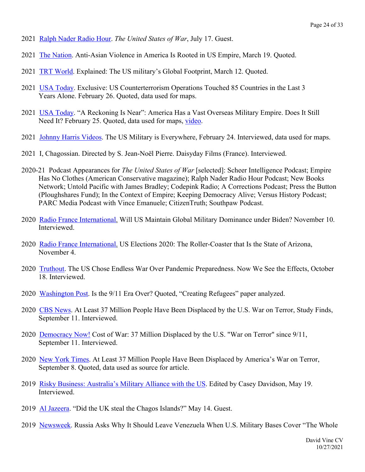- 2021 Ralph Nader Radio Hour. *The United States of War*, July 17. Guest.
- 2021 The Nation. Anti-Asian Violence in America Is Rooted in US Empire, March 19. Quoted.
- 2021 TRT World. Explained: The US military's Global Footprint, March 12. Quoted.
- 2021 USA Today. Exclusive: US Counterterrorism Operations Touched 85 Countries in the Last 3 Years Alone. February 26. Quoted, data used for maps.
- 2021 USA Today. "A Reckoning Is Near": America Has a Vast Overseas Military Empire. Does It Still Need It? February 25. Quoted, data used for maps, video.
- 2021 Johnny Harris Videos. The US Military is Everywhere, February 24. Interviewed, data used for maps.
- 2021 I, Chagossian. Directed by S. Jean-Noël Pierre. Daisyday Films (France). Interviewed.
- 2020-21 Podcast Appearances for *The United States of War* [selected]: Scheer Intelligence Podcast; Empire Has No Clothes (American Conservative magazine); Ralph Nader Radio Hour Podcast; New Books Network; Untold Pacific with James Bradley; Codepink Radio; A Corrections Podcast; Press the Button (Ploughshares Fund); In the Context of Empire; Keeping Democracy Alive; Versus History Podcast; PARC Media Podcast with Vince Emanuele; CitizenTruth; Southpaw Podcast.
- 2020 Radio France International. Will US Maintain Global Military Dominance under Biden? November 10. Interviewed.
- 2020 Radio France International. US Elections 2020: The Roller-Coaster that Is the State of Arizona, November 4.
- 2020 Truthout. The US Chose Endless War Over Pandemic Preparedness. Now We See the Effects, October 18. Interviewed.
- 2020 Washington Post. Is the 9/11 Era Over? Quoted, "Creating Refugees" paper analyzed.
- 2020 CBS News. At Least 37 Million People Have Been Displaced by the U.S. War on Terror, Study Finds, September 11. Interviewed.
- 2020 Democracy Now! Cost of War: 37 Million Displaced by the U.S. "War on Terror" since 9/11, September 11. Interviewed.
- 2020 New York Times. At Least 37 Million People Have Been Displaced by America's War on Terror, September 8. Quoted, data used as source for article.
- 2019 Risky Business: Australia's Military Alliance with the US. Edited by Casey Davidson, May 19. Interviewed.
- 2019 Al Jazeera. "Did the UK steal the Chagos Islands?" May 14. Guest.
- 2019 Newsweek. Russia Asks Why It Should Leave Venezuela When U.S. Military Bases Cover "The Whole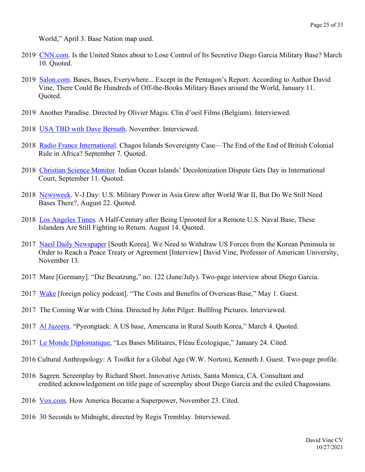World," April 3. Base Nation map used.

- 2019 CNN.com. Is the United States about to Lose Control of Its Secretive Diego Garcia Military Base? March 10. Quoted.
- 2019 Salon.com. Bases, Bases, Everywhere... Except in the Pentagon's Report: According to Author David Vine, There Could Be Hundreds of Off-the-Books Military Bases around the World, January 11. Quoted.
- 2019 Another Paradise. Directed by Olivier Magis. Clin d'oeil Films (Belgium). Interviewed.
- 2018 USA TBD with Dave Bernath. November. Interviewed.
- 2018 Radio France International. Chagos Islands Sovereignty Case—The End of the End of British Colonial Rule in Africa? September 7. Quoted.
- 2018 Christian Science Monitor. Indian Ocean Islands' Decolonization Dispute Gets Day in International Court, September 11. Quoted.
- 2018 Newsweek. V-J Day: U.S. Military Power in Asia Grew after World War II, But Do We Still Need Bases There?, August 22. Quoted.
- 2018 Los Angeles Times*.* A Half-Century after Being Uprooted for a Remote U.S. Naval Base, These Islanders Are Still Fighting to Return. August 14. Quoted.
- 2017 Naeil Daily Newspaper [South Korea]. We Need to Withdraw US Forces from the Korean Peninsula in Order to Reach a Peace Treaty or Agreement [Interview] David Vine, Professor of American University, November 13.
- 2017 Mare [Germany]. "Die Besatzung," no. 122 (June/July). Two-page interview about Diego Garcia.
- 2017 Wake [foreign policy podcast]. "The Costs and Benefits of Overseas Base," May 1. Guest.
- 2017 The Coming War with China. Directed by John Pilger. Bullfrog Pictures. Interviewed.
- 2017 Al Jazeera. "Pyeongtaek: A US base, Americana in Rural South Korea," March 4. Quoted.
- 2017 Le Monde Diplomatique, "Les Bases Militaires, Fléau Écologique," January 24. Cited.
- 2016 Cultural Anthropology: A Toolkit for a Global Age (W.W. Norton), Kenneth J. Guest. Two-page profile.
- 2016 Sagren. Screenplay by Richard Short. Innovative Artists, Santa Monica, CA. Consultant and credited acknowledgement on title page of screenplay about Diego Garcia and the exiled Chagossians.
- 2016 Vox.com. How America Became a Superpower, November 23. Cited.
- 2016 30 Seconds to Midnight, directed by Regis Tremblay. Interviewed.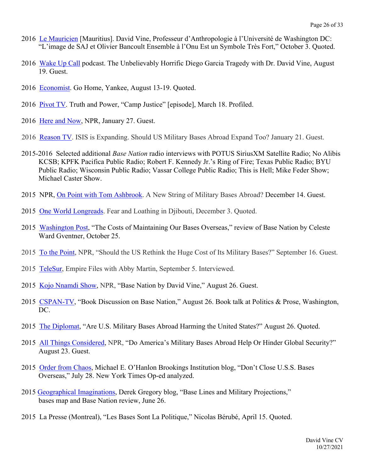- 2016 Le Mauricien [Mauritius]. David Vine, Professeur d'Anthropologie à l'Université de Washington DC: "L'image de SAJ et Olivier Bancoult Ensemble à l'Onu Est un Symbole Très Fort," October 3. Quoted.
- 2016 Wake Up Call podcast. The Unbelievably Horrific Diego Garcia Tragedy with Dr. David Vine, August 19. Guest.
- 2016 Economist. Go Home, Yankee, August 13-19. Quoted.
- 2016 Pivot TV. Truth and Power, "Camp Justice" [episode], March 18. Profiled.
- 2016 Here and Now, NPR, January 27. Guest.
- 2016 Reason TV. ISIS is Expanding. Should US Military Bases Abroad Expand Too? January 21. Guest.
- 2015-2016 Selected additional *Base Nation* radio interviews with POTUS SiriusXM Satellite Radio; No Alibis KCSB; KPFK Pacifica Public Radio; Robert F. Kennedy Jr.'s Ring of Fire; Texas Public Radio; BYU Public Radio; Wisconsin Public Radio; Vassar College Public Radio; This is Hell; Mike Feder Show; Michael Caster Show.
- 2015 NPR, On Point with Tom Ashbrook. A New String of Military Bases Abroad? December 14. Guest.
- 2015 One World Longreads. Fear and Loathing in Djibouti, December 3. Quoted.
- 2015 Washington Post, "The Costs of Maintaining Our Bases Overseas," review of Base Nation by Celeste Ward Gventner, October 25.
- 2015 To the Point, NPR, "Should the US Rethink the Huge Cost of Its Military Bases?" September 16. Guest.
- 2015 TeleSur, Empire Files with Abby Martin, September 5. Interviewed.
- 2015 Kojo Nnamdi Show, NPR, "Base Nation by David Vine," August 26. Guest.
- 2015 CSPAN-TV, "Book Discussion on Base Nation," August 26. Book talk at Politics & Prose, Washington, DC.
- 2015 The Diplomat, "Are U.S. Military Bases Abroad Harming the United States?" August 26. Quoted.
- 2015 All Things Considered, NPR, "Do America's Military Bases Abroad Help Or Hinder Global Security?" August 23. Guest.
- 2015 Order from Chaos, Michael E. O'Hanlon Brookings Institution blog, "Don't Close U.S.S. Bases Overseas," July 28. New York Times Op-ed analyzed.
- 2015 Geographical Imaginations, Derek Gregory blog, "Base Lines and Military Projections," bases map and Base Nation review, June 26.
- 2015 La Presse (Montreal), "Les Bases Sont La Politique," Nicolas Bérubé, April 15. Quoted.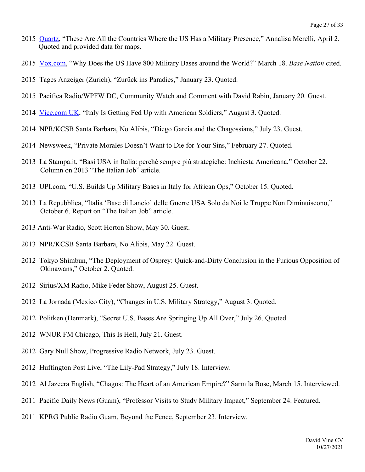- 2015 Quartz, "These Are All the Countries Where the US Has a Military Presence," Annalisa Merelli, April 2. Quoted and provided data for maps.
- 2015 Vox.com, "Why Does the US Have 800 Military Bases around the World?" March 18. *Base Nation* cited.
- 2015 Tages Anzeiger (Zurich), "Zurück ins Paradies," January 23. Quoted.
- 2015 Pacifica Radio/WPFW DC, Community Watch and Comment with David Rabin, January 20. Guest.
- 2014 Vice.com UK, "Italy Is Getting Fed Up with American Soldiers," August 3. Quoted.
- 2014 NPR/KCSB Santa Barbara, No Alibis, "Diego Garcia and the Chagossians," July 23. Guest.
- 2014 Newsweek, "Private Morales Doesn't Want to Die for Your Sins," February 27. Quoted.
- 2013 La Stampa.it, "Basi USA in Italia: perché sempre più strategiche: Inchiesta Americana," October 22. Column on 2013 "The Italian Job" article.
- 2013 UPI.com, "U.S. Builds Up Military Bases in Italy for African Ops," October 15. Quoted.
- 2013 La Repubblica, "Italia 'Base di Lancio' delle Guerre USA Solo da Noi le Truppe Non Diminuiscono," October 6. Report on "The Italian Job" article.
- 2013 Anti-War Radio, Scott Horton Show, May 30. Guest.
- 2013 NPR/KCSB Santa Barbara, No Alibis, May 22. Guest.
- 2012 Tokyo Shimbun, "The Deployment of Osprey: Quick-and-Dirty Conclusion in the Furious Opposition of Okinawans," October 2. Quoted.
- 2012 Sirius/XM Radio, Mike Feder Show, August 25. Guest.
- 2012 La Jornada (Mexico City), "Changes in U.S. Military Strategy," August 3. Quoted.
- 2012 Politken (Denmark), "Secret U.S. Bases Are Springing Up All Over," July 26. Quoted.
- 2012 WNUR FM Chicago, This Is Hell, July 21. Guest.
- 2012 Gary Null Show, Progressive Radio Network, July 23. Guest.
- 2012 Huffington Post Live, "The Lily-Pad Strategy," July 18. Interview.
- 2012 Al Jazeera English, "Chagos: The Heart of an American Empire?" Sarmila Bose, March 15. Interviewed.
- 2011 Pacific Daily News (Guam), "Professor Visits to Study Military Impact," September 24. Featured.
- 2011 KPRG Public Radio Guam, Beyond the Fence, September 23. Interview.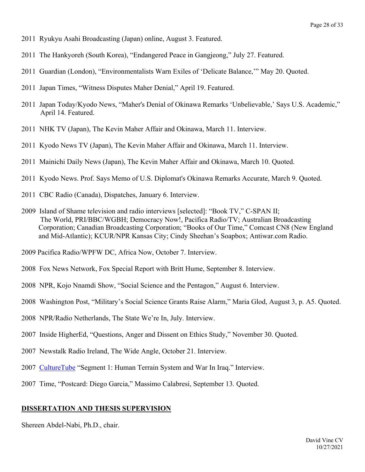- 2011 Ryukyu Asahi Broadcasting (Japan) online, August 3. Featured.
- 2011 The Hankyoreh (South Korea), "Endangered Peace in Gangjeong," July 27. Featured.
- 2011 Guardian (London), "Environmentalists Warn Exiles of 'Delicate Balance,'" May 20. Quoted.
- 2011 Japan Times, "Witness Disputes Maher Denial," April 19. Featured.
- 2011 Japan Today/Kyodo News, "Maher's Denial of Okinawa Remarks 'Unbelievable,' Says U.S. Academic," April 14. Featured.
- 2011 NHK TV (Japan), The Kevin Maher Affair and Okinawa, March 11. Interview.
- 2011 Kyodo News TV (Japan), The Kevin Maher Affair and Okinawa, March 11. Interview.
- 2011 Mainichi Daily News (Japan), The Kevin Maher Affair and Okinawa, March 10. Quoted.
- 2011 Kyodo News. Prof. Says Memo of U.S. Diplomat's Okinawa Remarks Accurate, March 9. Quoted.
- 2011 CBC Radio (Canada), Dispatches, January 6. Interview.
- 2009 Island of Shame television and radio interviews [selected]: "Book TV," C-SPAN II; The World, PRI/BBC/WGBH; Democracy Now!, Pacifica Radio/TV; Australian Broadcasting Corporation; Canadian Broadcasting Corporation; "Books of Our Time," Comcast CN8 (New England and Mid-Atlantic); KCUR/NPR Kansas City; Cindy Sheehan's Soapbox; Antiwar.com Radio.
- 2009 Pacifica Radio/WPFW DC, Africa Now, October 7. Interview.
- 2008 Fox News Network, Fox Special Report with Britt Hume, September 8. Interview.
- 2008 NPR, Kojo Nnamdi Show, "Social Science and the Pentagon," August 6. Interview.
- 2008 Washington Post, "Military's Social Science Grants Raise Alarm," Maria Glod, August 3, p. A5. Quoted.
- 2008 NPR/Radio Netherlands, The State We're In, July. Interview.
- 2007 Inside HigherEd, "Questions, Anger and Dissent on Ethics Study," November 30. Quoted.
- 2007 Newstalk Radio Ireland, The Wide Angle, October 21. Interview.
- 2007 CultureTube "Segment 1: Human Terrain System and War In Iraq." Interview.
- 2007 Time, "Postcard: Diego Garcia," Massimo Calabresi, September 13. Quoted.

#### **DISSERTATION AND THESIS SUPERVISION**

Shereen Abdel-Nabi, Ph.D., chair.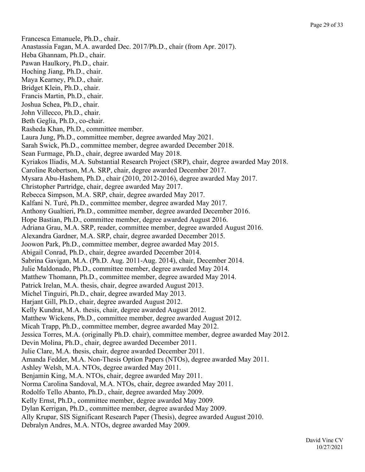Francesca Emanuele, Ph.D., chair. Anastassia Fagan, M.A. awarded Dec. 2017/Ph.D., chair (from Apr. 2017). Heba Ghannam, Ph.D., chair. Pawan Haulkory, Ph.D., chair. Hoching Jiang, Ph.D., chair. Maya Kearney, Ph.D., chair. Bridget Klein, Ph.D., chair. Francis Martin, Ph.D., chair. Joshua Schea, Ph.D., chair. John Villecco, Ph.D., chair. Beth Geglia, Ph.D., co-chair. Rasheda Khan, Ph.D., committee member. Laura Jung, Ph.D., committee member, degree awarded May 2021. Sarah Swick, Ph.D., committee member, degree awarded December 2018. Sean Furmage, Ph.D., chair, degree awarded May 2018. Kyriakos Iliadis, M.A. Substantial Research Project (SRP), chair, degree awarded May 2018. Caroline Robertson, M.A. SRP, chair, degree awarded December 2017. Mysara Abu-Hashem, Ph.D., chair (2010, 2012-2016), degree awarded May 2017. Christopher Partridge, chair, degree awarded May 2017. Rebecca Simpson, M.A. SRP, chair, degree awarded May 2017. Kalfani N. Turé, Ph.D., committee member, degree awarded May 2017. Anthony Gualtieri, Ph.D., committee member, degree awarded December 2016. Hope Bastian, Ph.D., committee member, degree awarded August 2016. Adriana Grau, M.A. SRP, reader, committee member, degree awarded August 2016. Alexandra Gardner, M.A. SRP, chair, degree awarded December 2015. Joowon Park, Ph.D., committee member, degree awarded May 2015. Abigail Conrad, Ph.D., chair, degree awarded December 2014. Sabrina Gavigan, M.A. (Ph.D. Aug. 2011-Aug. 2014), chair, December 2014. Julie Maldonado, Ph.D., committee member, degree awarded May 2014. Matthew Thomann, Ph.D., committee member, degree awarded May 2014. Patrick Irelan, M.A. thesis, chair, degree awarded August 2013. Michel Tinguiri, Ph.D., chair, degree awarded May 2013. Harjant Gill, Ph.D., chair, degree awarded August 2012. Kelly Kundrat, M.A. thesis, chair, degree awarded August 2012. Matthew Wickens, Ph.D., committee member, degree awarded August 2012. Micah Trapp, Ph.D., committee member, degree awarded May 2012. Jessica Torres, M.A. (originally Ph.D. chair), committee member, degree awarded May 2012. Devin Molina, Ph.D., chair, degree awarded December 2011. Julie Clare, M.A. thesis, chair, degree awarded December 2011. Amanda Fedder, M.A. Non-Thesis Option Papers (NTOs), degree awarded May 2011. Ashley Welsh, M.A. NTOs, degree awarded May 2011. Benjamin King, M.A. NTOs, chair, degree awarded May 2011. Norma Carolina Sandoval, M.A. NTOs, chair, degree awarded May 2011. Rodolfo Tello Abanto, Ph.D., chair, degree awarded May 2009. Kelly Ernst, Ph.D., committee member, degree awarded May 2009. Dylan Kerrigan, Ph.D., committee member, degree awarded May 2009. Ally Krupar, SIS Significant Research Paper (Thesis), degree awarded August 2010. Debralyn Andres, M.A. NTOs, degree awarded May 2009.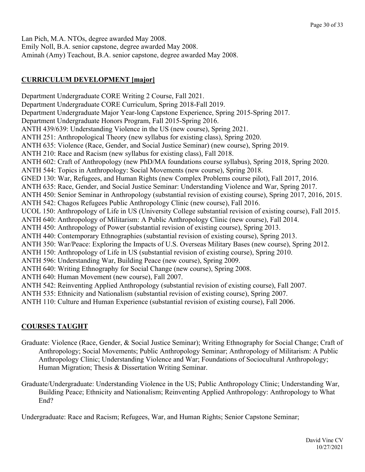Lan Pich, M.A. NTOs, degree awarded May 2008. Emily Noll, B.A. senior capstone, degree awarded May 2008. Aminah (Amy) Teachout, B.A. senior capstone, degree awarded May 2008.

# **CURRICULUM DEVELOPMENT [major]**

Department Undergraduate CORE Writing 2 Course, Fall 2021. Department Undergraduate CORE Curriculum, Spring 2018-Fall 2019. Department Undergraduate Major Year-long Capstone Experience, Spring 2015-Spring 2017. Department Undergraduate Honors Program, Fall 2015-Spring 2016. ANTH 439/639: Understanding Violence in the US (new course), Spring 2021. ANTH 251: Anthropological Theory (new syllabus for existing class), Spring 2020. ANTH 635: Violence (Race, Gender, and Social Justice Seminar) (new course), Spring 2019. ANTH 210: Race and Racism (new syllabus for existing class), Fall 2018. ANTH 602: Craft of Anthropology (new PhD/MA foundations course syllabus), Spring 2018, Spring 2020. ANTH 544: Topics in Anthropology: Social Movements (new course), Spring 2018. GNED 130: War, Refugees, and Human Rights (new Complex Problems course pilot), Fall 2017, 2016. ANTH 635: Race, Gender, and Social Justice Seminar: Understanding Violence and War, Spring 2017. ANTH 450: Senior Seminar in Anthropology (substantial revision of existing course), Spring 2017, 2016, 2015. ANTH 542: Chagos Refugees Public Anthropology Clinic (new course), Fall 2016. UCOL 150: Anthropology of Life in US (University College substantial revision of existing course), Fall 2015. ANTH 640: Anthropology of Militarism: A Public Anthropology Clinic (new course), Fall 2014. ANTH 450: Anthropology of Power (substantial revision of existing course), Spring 2013. ANTH 440: Contemporary Ethnographies (substantial revision of existing course), Spring 2013. ANTH 350: War/Peace: Exploring the Impacts of U.S. Overseas Military Bases (new course), Spring 2012. ANTH 150: Anthropology of Life in US (substantial revision of existing course), Spring 2010. ANTH 596: Understanding War, Building Peace (new course), Spring 2009. ANTH 640: Writing Ethnography for Social Change (new course), Spring 2008. ANTH 640: Human Movement (new course), Fall 2007. ANTH 542: Reinventing Applied Anthropology (substantial revision of existing course), Fall 2007. ANTH 535: Ethnicity and Nationalism (substantial revision of existing course), Spring 2007. ANTH 110: Culture and Human Experience (substantial revision of existing course), Fall 2006.

# **COURSES TAUGHT**

- Graduate: Violence (Race, Gender, & Social Justice Seminar); Writing Ethnography for Social Change; Craft of Anthropology; Social Movements; Public Anthropology Seminar; Anthropology of Militarism: A Public Anthropology Clinic; Understanding Violence and War; Foundations of Sociocultural Anthropology; Human Migration; Thesis & Dissertation Writing Seminar.
- Graduate/Undergraduate: Understanding Violence in the US; Public Anthropology Clinic; Understanding War, Building Peace; Ethnicity and Nationalism; Reinventing Applied Anthropology: Anthropology to What End?

Undergraduate: Race and Racism; Refugees, War, and Human Rights; Senior Capstone Seminar;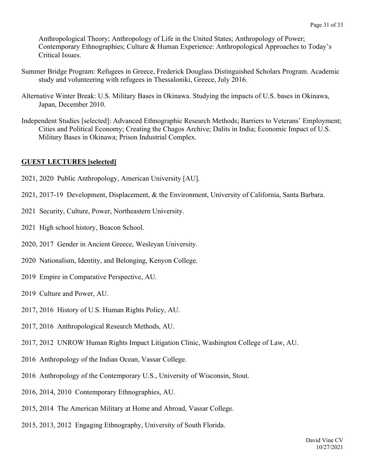Anthropological Theory; Anthropology of Life in the United States; Anthropology of Power; Contemporary Ethnographies; Culture & Human Experience: Anthropological Approaches to Today's Critical Issues.

- Summer Bridge Program: Refugees in Greece, Frederick Douglass Distinguished Scholars Program. Academic study and volunteering with refugees in Thessaloniki, Greece, July 2016.
- Alternative Winter Break: U.S. Military Bases in Okinawa. Studying the impacts of U.S. bases in Okinawa, Japan, December 2010.
- Independent Studies [selected]: Advanced Ethnographic Research Methods; Barriers to Veterans' Employment; Cities and Political Economy; Creating the Chagos Archive; Dalits in India; Economic Impact of U.S. Military Bases in Okinawa; Prison Industrial Complex.

## **GUEST LECTURES [selected]**

- 2021, 2020 Public Anthropology, American University [AU].
- 2021, 2017-19 Development, Displacement, & the Environment, University of California, Santa Barbara.
- 2021 Security, Culture, Power, Northeastern University.
- 2021 High school history, Beacon School.
- 2020, 2017 Gender in Ancient Greece, Wesleyan University.
- 2020 Nationalism, Identity, and Belonging, Kenyon College.
- 2019 Empire in Comparative Perspective, AU.
- 2019 Culture and Power, AU.
- 2017, 2016 History of U.S. Human Rights Policy, AU.
- 2017, 2016 Anthropological Research Methods, AU.
- 2017, 2012 UNROW Human Rights Impact Litigation Clinic, Washington College of Law, AU.
- 2016 Anthropology of the Indian Ocean, Vassar College.
- 2016 Anthropology of the Contemporary U.S., University of Wisconsin, Stout.
- 2016, 2014, 2010 Contemporary Ethnographies, AU.
- 2015, 2014 The American Military at Home and Abroad, Vassar College.
- 2015, 2013, 2012 Engaging Ethnography, University of South Florida.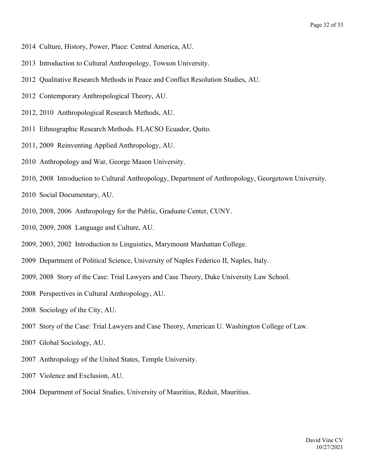- 2014 Culture, History, Power, Place: Central America, AU.
- 2013 Introduction to Cultural Anthropology, Towson University.
- 2012 Qualitative Research Methods in Peace and Conflict Resolution Studies, AU.
- 2012 Contemporary Anthropological Theory, AU.
- 2012, 2010 Anthropological Research Methods, AU.
- 2011 Ethnographic Research Methods. FLACSO Ecuador, Quito.
- 2011, 2009 Reinventing Applied Anthropology, AU.
- 2010 Anthropology and War, George Mason University.
- 2010, 2008 Introduction to Cultural Anthropology, Department of Anthropology, Georgetown University.
- 2010 Social Documentary, AU.
- 2010, 2008, 2006 Anthropology for the Public, Graduate Center, CUNY.
- 2010, 2009, 2008 Language and Culture, AU.
- 2009, 2003, 2002 Introduction to Linguistics, Marymount Manhattan College.
- 2009 Department of Political Science, University of Naples Federico II, Naples, Italy.
- 2009, 2008 Story of the Case: Trial Lawyers and Case Theory, Duke University Law School.
- 2008 Perspectives in Cultural Anthropology, AU.
- 2008 Sociology of the City, AU.
- 2007 Story of the Case: Trial Lawyers and Case Theory, American U. Washington College of Law.
- 2007 Global Sociology, AU.
- 2007 Anthropology of the United States, Temple University.
- 2007 Violence and Exclusion, AU.
- 2004 Department of Social Studies, University of Mauritius, Réduit, Mauritius.